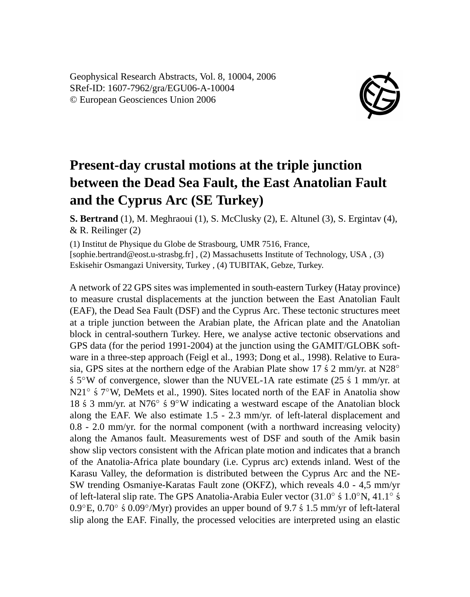Geophysical Research Abstracts, Vol. 8, 10004, 2006 SRef-ID: 1607-7962/gra/EGU06-A-10004 © European Geosciences Union 2006



## **Present-day crustal motions at the triple junction between the Dead Sea Fault, the East Anatolian Fault and the Cyprus Arc (SE Turkey)**

**S. Bertrand** (1), M. Meghraoui (1), S. McClusky (2), E. Altunel (3), S. Ergintav (4), & R. Reilinger (2)

(1) Institut de Physique du Globe de Strasbourg, UMR 7516, France, [sophie.bertrand@eost.u-strasbg.fr] , (2) Massachusetts Institute of Technology, USA , (3) Eskisehir Osmangazi University, Turkey , (4) TUBITAK, Gebze, Turkey.

A network of 22 GPS sites was implemented in south-eastern Turkey (Hatay province) to measure crustal displacements at the junction between the East Anatolian Fault (EAF), the Dead Sea Fault (DSF) and the Cyprus Arc. These tectonic structures meet at a triple junction between the Arabian plate, the African plate and the Anatolian block in central-southern Turkey. Here, we analyse active tectonic observations and GPS data (for the period 1991-2004) at the junction using the GAMIT/GLOBK software in a three-step approach (Feigl et al., 1993; Dong et al., 1998). Relative to Eurasia, GPS sites at the northern edge of the Arabian Plate show 17  $\pm$  2 mm/yr. at N28°  $\frac{1}{5}$  S°W of convergence, slower than the NUVEL-1A rate estimate (25  $\frac{1}{5}$  1 mm/yr. at N21<sup>°</sup> ś 7°W, DeMets et al., 1990). Sites located north of the EAF in Anatolia show 18 ś 3 mm/yr. at N76° ś 9°W indicating a westward escape of the Anatolian block along the EAF. We also estimate 1.5 - 2.3 mm/yr. of left-lateral displacement and 0.8 - 2.0 mm/yr. for the normal component (with a northward increasing velocity) along the Amanos fault. Measurements west of DSF and south of the Amik basin show slip vectors consistent with the African plate motion and indicates that a branch of the Anatolia-Africa plate boundary (i.e. Cyprus arc) extends inland. West of the Karasu Valley, the deformation is distributed between the Cyprus Arc and the NE-SW trending Osmaniye-Karatas Fault zone (OKFZ), which reveals 4.0 - 4,5 mm/yr of left-lateral slip rate. The GPS Anatolia-Arabia Euler vector (31.0° ś 1.0°N, 41.1° ś  $0.9^{\circ}$ E,  $0.70^{\circ}$  ś $0.09^{\circ}$ /Myr) provides an upper bound of 9.7 ś 1.5 mm/yr of left-lateral slip along the EAF. Finally, the processed velocities are interpreted using an elastic